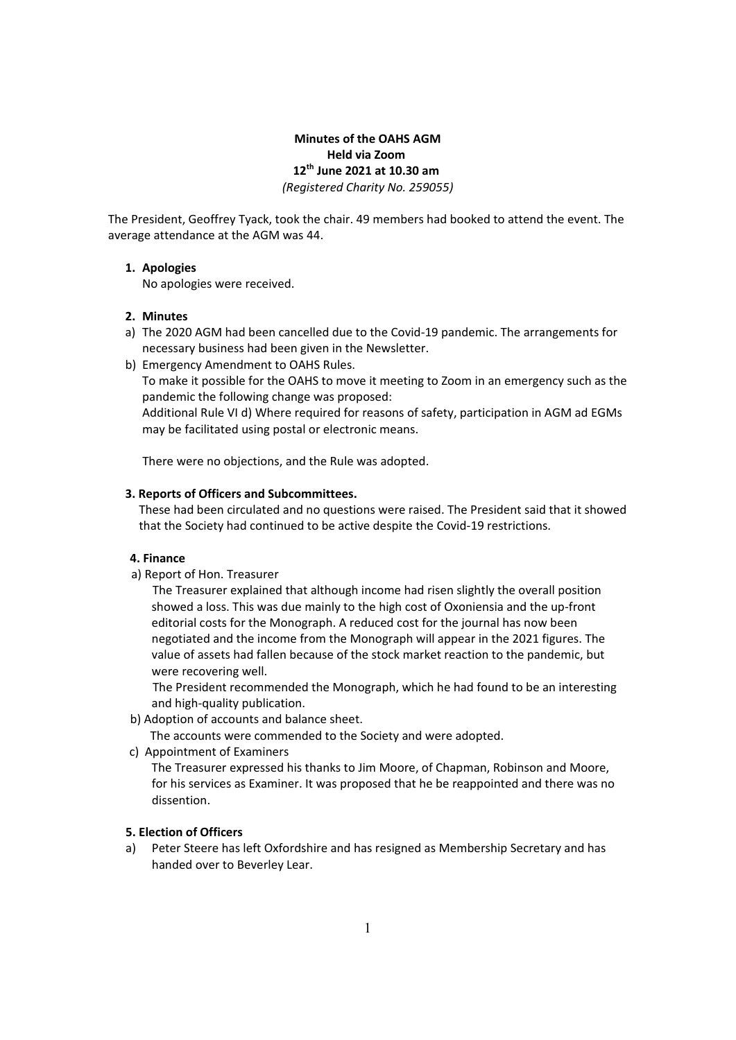# **Minutes of the OAHS AGM Held via Zoom 12th June 2021 at 10.30 am** *(Registered Charity No. 259055)*

The President, Geoffrey Tyack, took the chair. 49 members had booked to attend the event. The average attendance at the AGM was 44.

## **1. Apologies**

No apologies were received.

### **2. Minutes**

- a) The 2020 AGM had been cancelled due to the Covid‐19 pandemic. The arrangements for necessary business had been given in the Newsletter.
- b) Emergency Amendment to OAHS Rules.

To make it possible for the OAHS to move it meeting to Zoom in an emergency such as the pandemic the following change was proposed:

Additional Rule VI d) Where required for reasons of safety, participation in AGM ad EGMs may be facilitated using postal or electronic means.

There were no objections, and the Rule was adopted.

### **3. Reports of Officers and Subcommittees.**

These had been circulated and no questions were raised. The President said that it showed that the Society had continued to be active despite the Covid‐19 restrictions.

#### **4. Finance**

a) Report of Hon. Treasurer

The Treasurer explained that although income had risen slightly the overall position showed a loss. This was due mainly to the high cost of Oxoniensia and the up-front editorial costs for the Monograph. A reduced cost for the journal has now been negotiated and the income from the Monograph will appear in the 2021 figures. The value of assets had fallen because of the stock market reaction to the pandemic, but were recovering well.

The President recommended the Monograph, which he had found to be an interesting and high‐quality publication.

b) Adoption of accounts and balance sheet.

The accounts were commended to the Society and were adopted.

c) Appointment of Examiners

The Treasurer expressed his thanks to Jim Moore, of Chapman, Robinson and Moore, for his services as Examiner. It was proposed that he be reappointed and there was no dissention.

### **5. Election of Officers**

a) Peter Steere has left Oxfordshire and has resigned as Membership Secretary and has handed over to Beverley Lear.